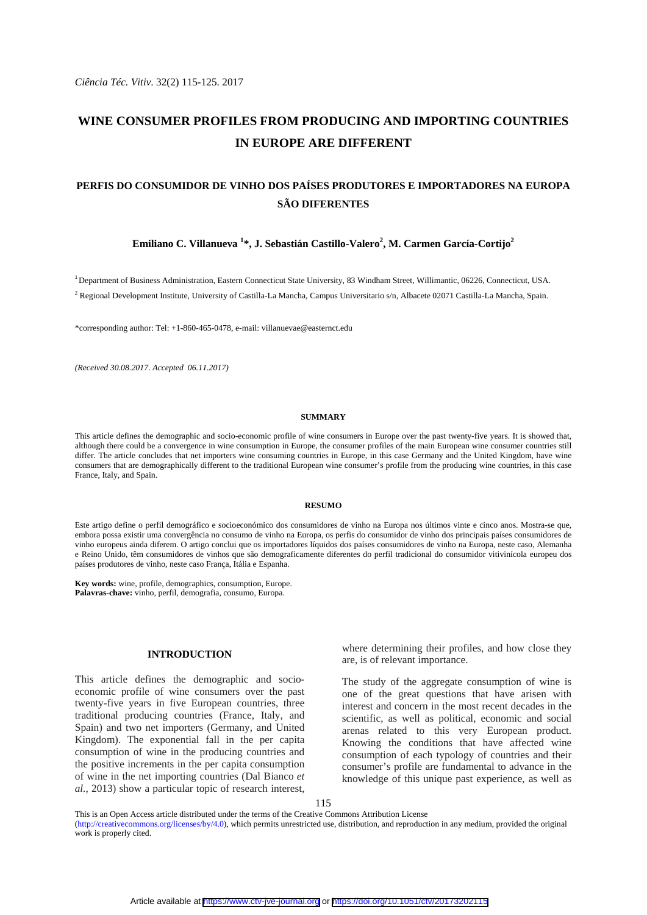*Ciência Téc. Vitiv*. 32(2) 115-125. 2017

# **WINE CONSUMER PROFILES FROM PRODUCING AND IMPORTING COUNTRIES IN EUROPE ARE DIFFERENT**

# **PERFIS DO CONSUMIDOR DE VINHO DOS PAÍSES PRODUTORES E IMPORTADORES NA EUROPA SÃO DIFERENTES**

## Emiliano C. Villanueva <sup>1</sup>\*, J. Sebastián Castillo-Valero<sup>2</sup>, M. Carmen García-Cortijo<sup>2</sup>

<sup>1</sup> Department of Business Administration, Eastern Connecticut State University, 83 Windham Street, Willimantic, 06226, Connecticut, USA. <sup>2</sup> Regional Development Institute, University of Castilla-La Mancha, Campus Universitario s/n, Albacete 02071 Castilla-La Mancha, Spain.

\*corresponding author: Tel: +1-860-465-0478, e-mail: villanuevae@easternct.edu

*(Received 30.08.2017. Accepted 06.11.2017)* 

#### **SUMMARY**

This article defines the demographic and socio-economic profile of wine consumers in Europe over the past twenty-five years. It is showed that, although there could be a convergence in wine consumption in Europe, the consumer profiles of the main European wine consumer countries still differ. The article concludes that net importers wine consuming countries in Europe, in this case Germany and the United Kingdom, have wine consumers that are demographically different to the traditional European wine consumer's profile from the producing wine countries, in this case France, Italy, and Spain.

#### **RESUMO**

Este artigo define o perfil demográfico e socioeconómico dos consumidores de vinho na Europa nos últimos vinte e cinco anos. Mostra-se que, embora possa existir uma convergência no consumo de vinho na Europa, os perfis do consumidor de vinho dos principais países consumidores de vinho europeus ainda diferem. O artigo conclui que os importadores líquidos dos países consumidores de vinho na Europa, neste caso, Alemanha e Reino Unido, têm consumidores de vinhos que são demograficamente diferentes do perfil tradicional do consumidor vitivinícola europeu dos países produtores de vinho, neste caso França, Itália e Espanha.

**Key words:** wine, profile, demographics, consumption, Europe. **Palavras-chave:** vinho, perfil, demografia, consumo, Europa.

## **INTRODUCTION**

This article defines the demographic and socioeconomic profile of wine consumers over the past twenty-five years in five European countries, three traditional producing countries (France, Italy, and Spain) and two net importers (Germany, and United Kingdom). The exponential fall in the per capita consumption of wine in the producing countries and the positive increments in the per capita consumption of wine in the net importing countries (Dal Bianco *et al.*, 2013) show a particular topic of research interest, where determining their profiles, and how close they are, is of relevant importance.

The study of the aggregate consumption of wine is one of the great questions that have arisen with interest and concern in the most recent decades in the scientific, as well as political, economic and social arenas related to this very European product. Knowing the conditions that have affected wine consumption of each typology of countries and their consumer's profile are fundamental to advance in the knowledge of this unique past experience, as well as

This is an Open Access article distributed under the terms of the Creative Commons Attribution License (http://creativecommons.org/licenses/by/4.0), which permits unrestricted use, distribution, and reproduction in any medium, provided the original work is properly cited.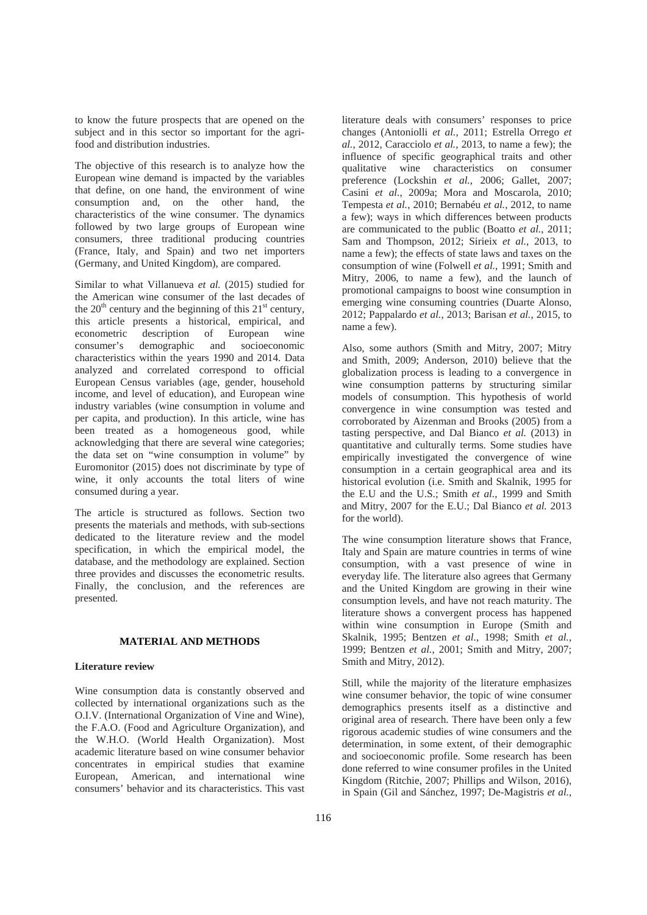to know the future prospects that are opened on the subject and in this sector so important for the agrifood and distribution industries.

The objective of this research is to analyze how the European wine demand is impacted by the variables that define, on one hand, the environment of wine consumption and, on the other hand, the characteristics of the wine consumer. The dynamics followed by two large groups of European wine consumers, three traditional producing countries (France, Italy, and Spain) and two net importers (Germany, and United Kingdom), are compared.

Similar to what Villanueva *et al.* (2015) studied for the American wine consumer of the last decades of the  $20<sup>th</sup>$  century and the beginning of this  $21<sup>st</sup>$  century, this article presents a historical, empirical, and econometric description of European wine consumer's demographic and socioeconomic characteristics within the years 1990 and 2014. Data analyzed and correlated correspond to official European Census variables (age, gender, household income, and level of education), and European wine industry variables (wine consumption in volume and per capita, and production). In this article, wine has been treated as a homogeneous good, while acknowledging that there are several wine categories; the data set on "wine consumption in volume" by Euromonitor (2015) does not discriminate by type of wine, it only accounts the total liters of wine consumed during a year.

The article is structured as follows. Section two presents the materials and methods, with sub-sections dedicated to the literature review and the model specification, in which the empirical model, the database, and the methodology are explained. Section three provides and discusses the econometric results. Finally, the conclusion, and the references are presented.

### **MATERIAL AND METHODS**

### **Literature review**

Wine consumption data is constantly observed and collected by international organizations such as the O.I.V. (International Organization of Vine and Wine), the F.A.O. (Food and Agriculture Organization), and the W.H.O. (World Health Organization). Most academic literature based on wine consumer behavior concentrates in empirical studies that examine European, American, and international wine consumers' behavior and its characteristics. This vast

literature deals with consumers' responses to price changes (Antoniolli *et al.*, 2011; Estrella Orrego *et al.*, 2012, Caracciolo *et al.*, 2013, to name a few); the influence of specific geographical traits and other qualitative wine characteristics on consumer preference (Lockshin *et al.*, 2006; Gallet, 2007; Casini *et al.*, 2009a; Mora and Moscarola, 2010; Tempesta *et al.*, 2010; Bernabéu *et al.*, 2012, to name a few); ways in which differences between products are communicated to the public (Boatto *et al.*, 2011; Sam and Thompson, 2012; Sirieix *et al.*, 2013, to name a few); the effects of state laws and taxes on the consumption of wine (Folwell *et al.*, 1991; Smith and Mitry, 2006, to name a few), and the launch of promotional campaigns to boost wine consumption in emerging wine consuming countries (Duarte Alonso, 2012; Pappalardo *et al.*, 2013; Barisan *et al.*, 2015, to name a few).

Also, some authors (Smith and Mitry, 2007; Mitry and Smith, 2009; Anderson, 2010) believe that the globalization process is leading to a convergence in wine consumption patterns by structuring similar models of consumption. This hypothesis of world convergence in wine consumption was tested and corroborated by Aizenman and Brooks (2005) from a tasting perspective, and Dal Bianco *et al.* (2013) in quantitative and culturally terms. Some studies have empirically investigated the convergence of wine consumption in a certain geographical area and its historical evolution (i.e. Smith and Skalnik, 1995 for the E.U and the U.S.; Smith *et al.*, 1999 and Smith and Mitry, 2007 for the E.U.; Dal Bianco *et al.* 2013 for the world).

The wine consumption literature shows that France, Italy and Spain are mature countries in terms of wine consumption, with a vast presence of wine in everyday life. The literature also agrees that Germany and the United Kingdom are growing in their wine consumption levels, and have not reach maturity. The literature shows a convergent process has happened within wine consumption in Europe (Smith and Skalnik, 1995; Bentzen *et al.*, 1998; Smith *et al.*, 1999; Bentzen *et al.*, 2001; Smith and Mitry, 2007; Smith and Mitry, 2012).

Still, while the majority of the literature emphasizes wine consumer behavior, the topic of wine consumer demographics presents itself as a distinctive and original area of research. There have been only a few rigorous academic studies of wine consumers and the determination, in some extent, of their demographic and socioeconomic profile. Some research has been done referred to wine consumer profiles in the United Kingdom (Ritchie, 2007; Phillips and Wilson, 2016), in Spain (Gil and Sánchez, 1997; De-Magistris *et al.*,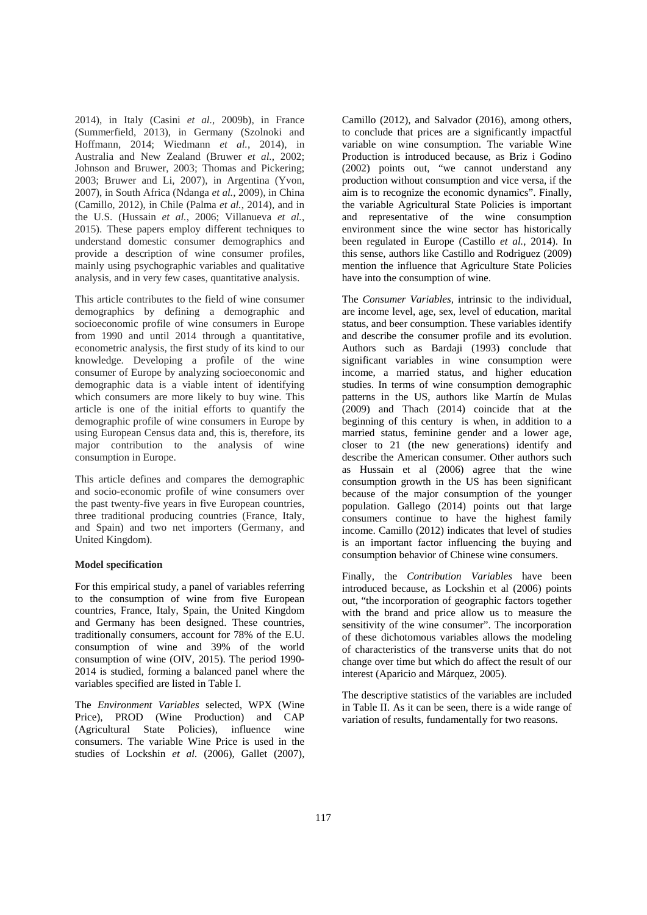2014), in Italy (Casini *et al.*, 2009b), in France (Summerfield, 2013), in Germany (Szolnoki and Hoffmann, 2014; Wiedmann *et al.*, 2014), in Australia and New Zealand (Bruwer *et al.*, 2002; Johnson and Bruwer, 2003; Thomas and Pickering; 2003; Bruwer and Li, 2007), in Argentina (Yvon, 2007), in South Africa (Ndanga *et al.*, 2009), in China (Camillo, 2012), in Chile (Palma *et al.*, 2014), and in the U.S. (Hussain *et al.*, 2006; Villanueva *et al.*, 2015). These papers employ different techniques to understand domestic consumer demographics and provide a description of wine consumer profiles, mainly using psychographic variables and qualitative analysis, and in very few cases, quantitative analysis.

This article contributes to the field of wine consumer demographics by defining a demographic and socioeconomic profile of wine consumers in Europe from 1990 and until 2014 through a quantitative, econometric analysis, the first study of its kind to our knowledge. Developing a profile of the wine consumer of Europe by analyzing socioeconomic and demographic data is a viable intent of identifying which consumers are more likely to buy wine. This article is one of the initial efforts to quantify the demographic profile of wine consumers in Europe by using European Census data and, this is, therefore, its major contribution to the analysis of wine consumption in Europe.

This article defines and compares the demographic and socio-economic profile of wine consumers over the past twenty-five years in five European countries, three traditional producing countries (France, Italy, and Spain) and two net importers (Germany, and United Kingdom).

### **Model specification**

For this empirical study, a panel of variables referring to the consumption of wine from five European countries, France, Italy, Spain, the United Kingdom and Germany has been designed. These countries, traditionally consumers, account for 78% of the E.U. consumption of wine and 39% of the world consumption of wine (OIV, 2015). The period 1990- 2014 is studied, forming a balanced panel where the variables specified are listed in Table I.

The *Environment Variables* selected, WPX (Wine Price), PROD (Wine Production) and CAP (Agricultural State Policies), influence wine consumers. The variable Wine Price is used in the studies of Lockshin *et al.* (2006), Gallet (2007), Camillo (2012), and Salvador (2016), among others, to conclude that prices are a significantly impactful variable on wine consumption. The variable Wine Production is introduced because, as Briz i Godino (2002) points out, "we cannot understand any production without consumption and vice versa, if the aim is to recognize the economic dynamics". Finally, the variable Agricultural State Policies is important and representative of the wine consumption environment since the wine sector has historically been regulated in Europe (Castillo *et al.*, 2014). In this sense, authors like Castillo and Rodriguez (2009) mention the influence that Agriculture State Policies have into the consumption of wine.

The *Consumer Variables,* intrinsic to the individual, are income level, age, sex, level of education, marital status, and beer consumption. These variables identify and describe the consumer profile and its evolution. Authors such as Bardaji (1993) conclude that significant variables in wine consumption were income, a married status, and higher education studies. In terms of wine consumption demographic patterns in the US, authors like Martín de Mulas (2009) and Thach (2014) coincide that at the beginning of this century is when, in addition to a married status, feminine gender and a lower age, closer to 21 (the new generations) identify and describe the American consumer. Other authors such as Hussain et al (2006) agree that the wine consumption growth in the US has been significant because of the major consumption of the younger population. Gallego (2014) points out that large consumers continue to have the highest family income. Camillo (2012) indicates that level of studies is an important factor influencing the buying and consumption behavior of Chinese wine consumers.

Finally, the *Contribution Variables* have been introduced because, as Lockshin et al (2006) points out, "the incorporation of geographic factors together with the brand and price allow us to measure the sensitivity of the wine consumer". The incorporation of these dichotomous variables allows the modeling of characteristics of the transverse units that do not change over time but which do affect the result of our interest (Aparicio and Márquez, 2005).

The descriptive statistics of the variables are included in Table II. As it can be seen, there is a wide range of variation of results, fundamentally for two reasons.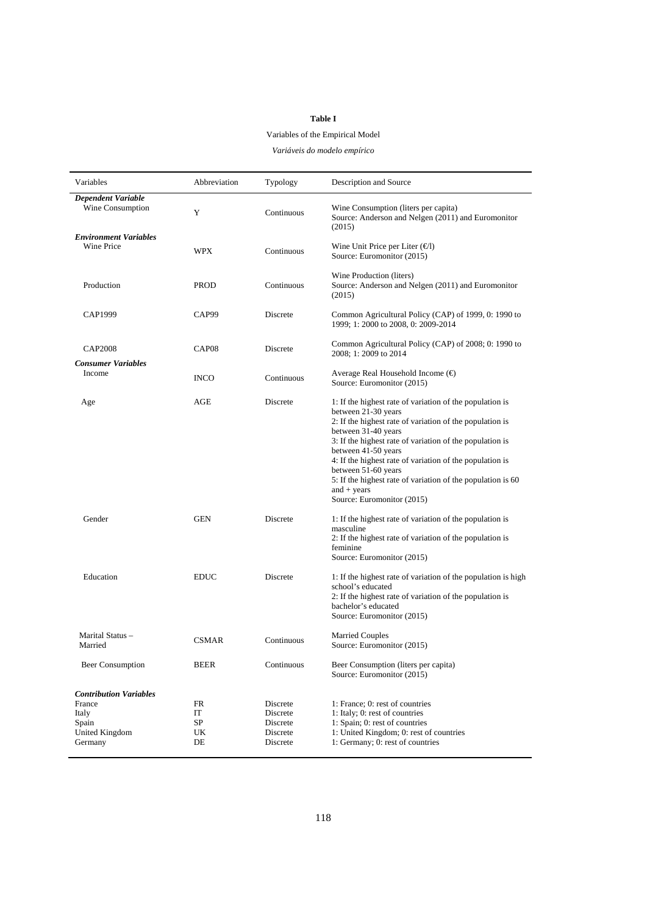# **Table I**

# Variables of the Empirical Model

*Variáveis do modelo empírico* 

| Variables                                                                              | Abbreviation               | Typology                                                 | Description and Source                                                                                                                                                                                                                                                                                                                                                                                                                                 |
|----------------------------------------------------------------------------------------|----------------------------|----------------------------------------------------------|--------------------------------------------------------------------------------------------------------------------------------------------------------------------------------------------------------------------------------------------------------------------------------------------------------------------------------------------------------------------------------------------------------------------------------------------------------|
| <b>Dependent Variable</b><br>Wine Consumption                                          | Y                          | Continuous                                               | Wine Consumption (liters per capita)<br>Source: Anderson and Nelgen (2011) and Euromonitor<br>(2015)                                                                                                                                                                                                                                                                                                                                                   |
| <b>Environment Variables</b><br><b>Wine Price</b>                                      | WPX                        | Continuous                                               | Wine Unit Price per Liter $(\epsilon)$<br>Source: Euromonitor (2015)                                                                                                                                                                                                                                                                                                                                                                                   |
| Production                                                                             | <b>PROD</b>                | Continuous                                               | Wine Production (liters)<br>Source: Anderson and Nelgen (2011) and Euromonitor<br>(2015)                                                                                                                                                                                                                                                                                                                                                               |
| CAP1999                                                                                | CAP99                      | Discrete                                                 | Common Agricultural Policy (CAP) of 1999, 0: 1990 to<br>1999; 1: 2000 to 2008, 0: 2009-2014                                                                                                                                                                                                                                                                                                                                                            |
| <b>CAP2008</b><br><b>Consumer Variables</b>                                            | CAP <sub>08</sub>          | Discrete                                                 | Common Agricultural Policy (CAP) of 2008; 0: 1990 to<br>2008; 1: 2009 to 2014                                                                                                                                                                                                                                                                                                                                                                          |
| Income                                                                                 | <b>INCO</b>                | Continuous                                               | Average Real Household Income $(\epsilon)$<br>Source: Euromonitor (2015)                                                                                                                                                                                                                                                                                                                                                                               |
| Age                                                                                    | AGE                        | Discrete                                                 | 1: If the highest rate of variation of the population is<br>between 21-30 years<br>2: If the highest rate of variation of the population is<br>between 31-40 years<br>3: If the highest rate of variation of the population is<br>between 41-50 years<br>4: If the highest rate of variation of the population is<br>between 51-60 years<br>5: If the highest rate of variation of the population is 60<br>and $+$ years<br>Source: Euromonitor (2015) |
| Gender                                                                                 | <b>GEN</b>                 | Discrete                                                 | 1: If the highest rate of variation of the population is<br>masculine<br>2: If the highest rate of variation of the population is<br>feminine<br>Source: Euromonitor (2015)                                                                                                                                                                                                                                                                            |
| Education                                                                              | <b>EDUC</b>                | Discrete                                                 | 1: If the highest rate of variation of the population is high<br>school's educated<br>2: If the highest rate of variation of the population is<br>bachelor's educated<br>Source: Euromonitor (2015)                                                                                                                                                                                                                                                    |
| Marital Status -<br>Married                                                            | <b>CSMAR</b>               | Continuous                                               | <b>Married Couples</b><br>Source: Euromonitor (2015)                                                                                                                                                                                                                                                                                                                                                                                                   |
| <b>Beer Consumption</b>                                                                | <b>BEER</b>                | Continuous                                               | Beer Consumption (liters per capita)<br>Source: Euromonitor (2015)                                                                                                                                                                                                                                                                                                                                                                                     |
| <b>Contribution Variables</b><br>France<br>Italy<br>Spain<br>United Kingdom<br>Germany | FR<br>IT<br>SP<br>UK<br>DE | Discrete<br>Discrete<br>Discrete<br>Discrete<br>Discrete | 1: France: 0: rest of countries<br>1: Italy; 0: rest of countries<br>1: Spain; 0: rest of countries<br>1: United Kingdom; 0: rest of countries<br>1: Germany; 0: rest of countries                                                                                                                                                                                                                                                                     |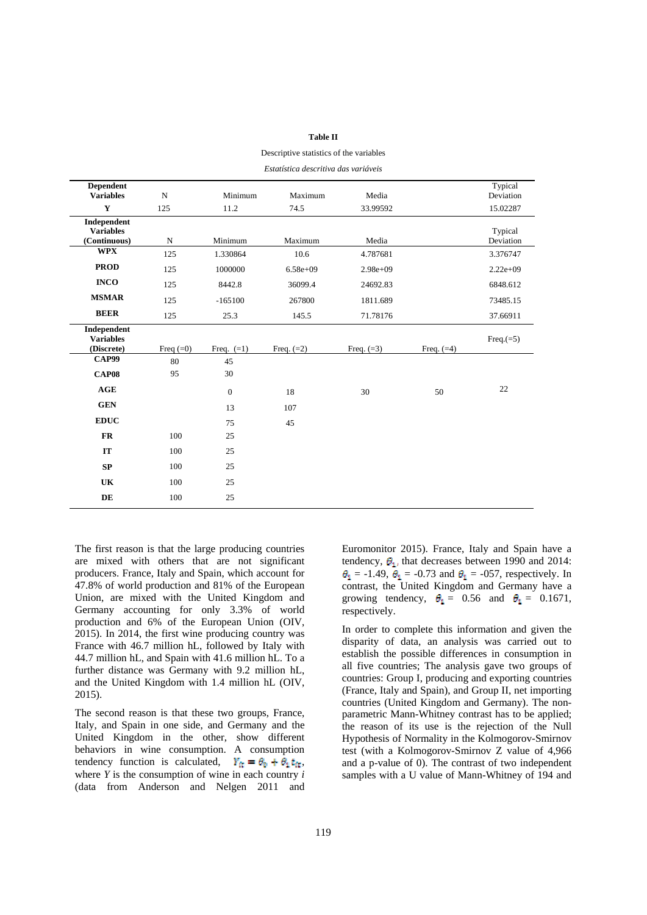### **Table II**

Descriptive statistics of the variables

| Estatística descritiva das variáveis |  |
|--------------------------------------|--|
|--------------------------------------|--|

| <b>Dependent</b>                                |             |              |              |              |              | Typical              |
|-------------------------------------------------|-------------|--------------|--------------|--------------|--------------|----------------------|
| <b>Variables</b>                                | $\mathbf N$ | Minimum      | Maximum      | Media        |              | Deviation            |
| Y                                               | 125         | 11.2         | 74.5         | 33.99592     |              | 15.02287             |
| Independent<br><b>Variables</b><br>(Continuous) | ${\bf N}$   | Minimum      | Maximum      | Media        |              | Typical<br>Deviation |
| <b>WPX</b>                                      | 125         | 1.330864     | 10.6         | 4.787681     |              | 3.376747             |
| <b>PROD</b>                                     | 125         | 1000000      | $6.58e+09$   | $2.98e+09$   |              | $2.22e+09$           |
| <b>INCO</b>                                     | 125         | 8442.8       | 36099.4      | 24692.83     |              | 6848.612             |
| <b>MSMAR</b>                                    | 125         | $-165100$    | 267800       | 1811.689     |              | 73485.15             |
| <b>BEER</b>                                     | 125         | 25.3         | 145.5        | 71.78176     |              | 37.66911             |
| Independent<br><b>Variables</b><br>(Discrete)   | Freq $(=0)$ | Freq. $(=1)$ | Freq. $(=2)$ | Freq. $(=3)$ | Freq. $(=4)$ | Freq. $(=5)$         |
| <b>CAP99</b>                                    | 80          | 45           |              |              |              |                      |
| <b>CAP08</b>                                    | 95          | 30           |              |              |              |                      |
| AGE                                             |             | $\mathbf{0}$ | 18           | 30           | 50           | 22                   |
| <b>GEN</b>                                      |             | 13           | 107          |              |              |                      |
| <b>EDUC</b>                                     |             | 75           | 45           |              |              |                      |
| FR                                              | 100         | 25           |              |              |              |                      |
| IT                                              | 100         | 25           |              |              |              |                      |
| SP                                              | 100         | 25           |              |              |              |                      |
| UK                                              | 100         | 25           |              |              |              |                      |
| DE                                              | 100         | 25           |              |              |              |                      |

The first reason is that the large producing countries are mixed with others that are not significant producers. France, Italy and Spain, which account for 47.8% of world production and 81% of the European Union, are mixed with the United Kingdom and Germany accounting for only 3.3% of world production and 6% of the European Union (OIV, 2015). In 2014, the first wine producing country was France with 46.7 million hL, followed by Italy with 44.7 million hL, and Spain with 41.6 million hL. To a further distance was Germany with 9.2 million hL, and the United Kingdom with 1.4 million hL (OIV, 2015).

The second reason is that these two groups, France, Italy, and Spain in one side, and Germany and the United Kingdom in the other, show different behaviors in wine consumption. A consumption tendency function is calculated,  $Y_{\text{tr}} = \theta_0 + \theta_1 t_{\text{tr}}$ , where *Y* is the consumption of wine in each country *i*  (data from Anderson and Nelgen 2011 and

Euromonitor 2015). France, Italy and Spain have a tendency,  $\theta_1$ , that decreases between 1990 and 2014:  $\theta_1$  = -1.49,  $\theta_1$  = -0.73 and  $\theta_1$  = -057, respectively. In contrast, the United Kingdom and Germany have a growing tendency,  $\theta_1 = 0.56$  and  $\theta_1 = 0.1671$ , respectively.

In order to complete this information and given the disparity of data, an analysis was carried out to establish the possible differences in consumption in all five countries; The analysis gave two groups of countries: Group I, producing and exporting countries (France, Italy and Spain), and Group II, net importing countries (United Kingdom and Germany). The nonparametric Mann-Whitney contrast has to be applied; the reason of its use is the rejection of the Null Hypothesis of Normality in the Kolmogorov-Smirnov test (with a Kolmogorov-Smirnov Z value of 4,966 and a p-value of 0). The contrast of two independent samples with a U value of Mann-Whitney of 194 and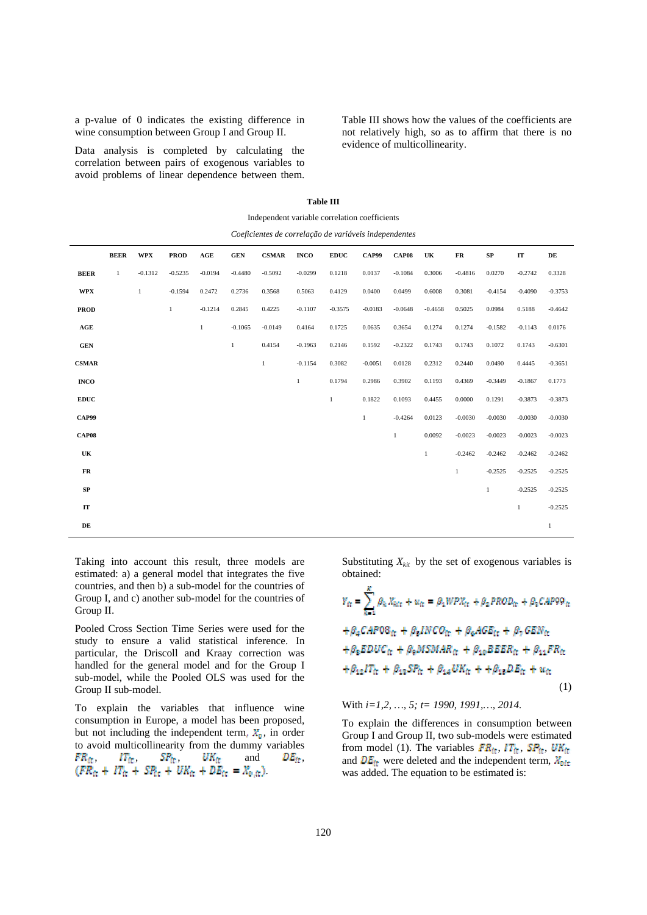a p-value of 0 indicates the existing difference in wine consumption between Group I and Group II.

Data analysis is completed by calculating the correlation between pairs of exogenous variables to avoid problems of linear dependence between them. Table III shows how the values of the coefficients are not relatively high, so as to affirm that there is no evidence of multicollinearity.

| Independent variable correlation coefficients         |              |              |              |                |              |              |              |              |              |              |              |           |              |              |           |
|-------------------------------------------------------|--------------|--------------|--------------|----------------|--------------|--------------|--------------|--------------|--------------|--------------|--------------|-----------|--------------|--------------|-----------|
| Coeficientes de correlação de variáveis independentes |              |              |              |                |              |              |              |              |              |              |              |           |              |              |           |
|                                                       | <b>BEER</b>  | <b>WPX</b>   | <b>PROD</b>  | $\mathbf{AGE}$ | <b>GEN</b>   | <b>CSMAR</b> | <b>INCO</b>  | <b>EDUC</b>  | <b>CAP99</b> | <b>CAP08</b> | UK           | FR        | SP           | IT           | DE        |
| <b>BEER</b>                                           | $\mathbf{1}$ | $-0.1312$    | $-0.5235$    | $-0.0194$      | $-0.4480$    | $-0.5092$    | $-0.0299$    | 0.1218       | 0.0137       | $-0.1084$    | 0.3006       | $-0.4816$ | 0.0270       | $-0.2742$    | 0.3328    |
| <b>WPX</b>                                            |              | $\mathbf{1}$ | $-0.1594$    | 0.2472         | 0.2736       | 0.3568       | 0.5063       | 0.4129       | 0.0400       | 0.0499       | 0.6008       | 0.3081    | $-0.4154$    | $-0.4090$    | $-0.3753$ |
| <b>PROD</b>                                           |              |              | $\mathbf{1}$ | $-0.1214$      | 0.2845       | 0.4225       | $-0.1107$    | $-0.3575$    | $-0.0183$    | $-0.0648$    | $-0.4658$    | 0.5025    | 0.0984       | 0.5188       | $-0.4642$ |
| $\mathbf{AGE}$                                        |              |              |              | $\,1$          | $-0.1065$    | $-0.0149$    | 0.4164       | 0.1725       | 0.0635       | 0.3654       | 0.1274       | 0.1274    | $-0.1582$    | $-0.1143$    | 0.0176    |
| <b>GEN</b>                                            |              |              |              |                | $\mathbf{1}$ | 0.4154       | $-0.1963$    | 0.2146       | 0.1592       | $-0.2322$    | 0.1743       | 0.1743    | 0.1072       | 0.1743       | $-0.6301$ |
| <b>CSMAR</b>                                          |              |              |              |                |              | 1            | $-0.1154$    | 0.3082       | $-0.0051$    | 0.0128       | 0.2312       | 0.2440    | 0.0490       | 0.4445       | $-0.3651$ |
| <b>INCO</b>                                           |              |              |              |                |              |              | $\mathbf{1}$ | 0.1794       | 0.2986       | 0.3902       | 0.1193       | 0.4369    | $-0.3449$    | $-0.1867$    | 0.1773    |
| <b>EDUC</b>                                           |              |              |              |                |              |              |              | $\mathbf{1}$ | 0.1822       | 0.1093       | 0.4455       | 0.0000    | 0.1291       | $-0.3873$    | $-0.3873$ |
| CAP99                                                 |              |              |              |                |              |              |              |              | $\mathbf{1}$ | $-0.4264$    | 0.0123       | $-0.0030$ | $-0.0030$    | $-0.0030$    | $-0.0030$ |
| CAP <sub>08</sub>                                     |              |              |              |                |              |              |              |              |              | 1            | 0.0092       | $-0.0023$ | $-0.0023$    | $-0.0023$    | $-0.0023$ |
| UK                                                    |              |              |              |                |              |              |              |              |              |              | $\mathbf{1}$ | $-0.2462$ | $-0.2462$    | $-0.2462$    | $-0.2462$ |
| ${\bf FR}$                                            |              |              |              |                |              |              |              |              |              |              |              | 1         | $-0.2525$    | $-0.2525$    | $-0.2525$ |
| ${\bf SP}$                                            |              |              |              |                |              |              |              |              |              |              |              |           | $\mathbf{1}$ | $-0.2525$    | $-0.2525$ |
| IT                                                    |              |              |              |                |              |              |              |              |              |              |              |           |              | $\mathbf{1}$ | $-0.2525$ |
|                                                       |              |              |              |                |              |              |              |              |              |              |              |           |              |              |           |

**DE** 1

**Table III** 

Taking into account this result, three models are estimated: a) a general model that integrates the five countries, and then b) a sub-model for the countries of Group I, and c) another sub-model for the countries of Group II.

Pooled Cross Section Time Series were used for the study to ensure a valid statistical inference. In particular, the Driscoll and Kraay correction was handled for the general model and for the Group I sub-model, while the Pooled OLS was used for the Group II sub-model.

To explain the variables that influence wine consumption in Europe, a model has been proposed, but not including the independent term,  $X_0$ , in order to avoid multicollinearity from the dummy variables ,  $IT_{\text{fr}}$ ,  $SP_{\text{fr}}$ ,  $UK_{\text{fr}}$  and  $DE_{\text{fr}}$ , .

Substituting  $X_{kit}$  by the set of exogenous variables is obtained:

$$
Y_{\rm fr} = \sum_{k=1}^{K} \beta_k X_{\rm RT} + u_{\rm fr} = \beta_1 W P X_{\rm fr} + \beta_2 P R O D_{\rm fr} + \beta_3 C A P 99_{\rm fr}
$$
  
+
$$
\beta_4 C A P 08_{\rm fr} + \beta_2 I N C O_{\rm fr} + \beta_4 A G E_{\rm fr} + \beta_7 G E N_{\rm fr}
$$
  
+
$$
\beta_2 E D U C_{\rm fr} + \beta_9 M S M A R_{\rm fr} + \beta_{10} B E E R_{\rm fr} + \beta_{11} F R_{\rm fr}
$$
  
+
$$
\beta_{12} I T_{\rm fr} + \beta_{13} S P_{\rm fr} + \beta_{14} U K_{\rm fr} + + \beta_{13} D E_{\rm fr} + u_{\rm fr}
$$
  
(1)

With *i=1,2, …, 5; t= 1990, 1991,…, 2014.* 

To explain the differences in consumption between Group I and Group II, two sub-models were estimated from model (1). The variables  $FR_{\text{ft}}$ ,  $IT_{\text{ft}}$ ,  $SP_{\text{ft}}$ ,  $UK_{\text{ft}}$ and  $DE_{\text{tr}}$  were deleted and the independent term,  $X_{\text{Dir}}$ was added. The equation to be estimated is: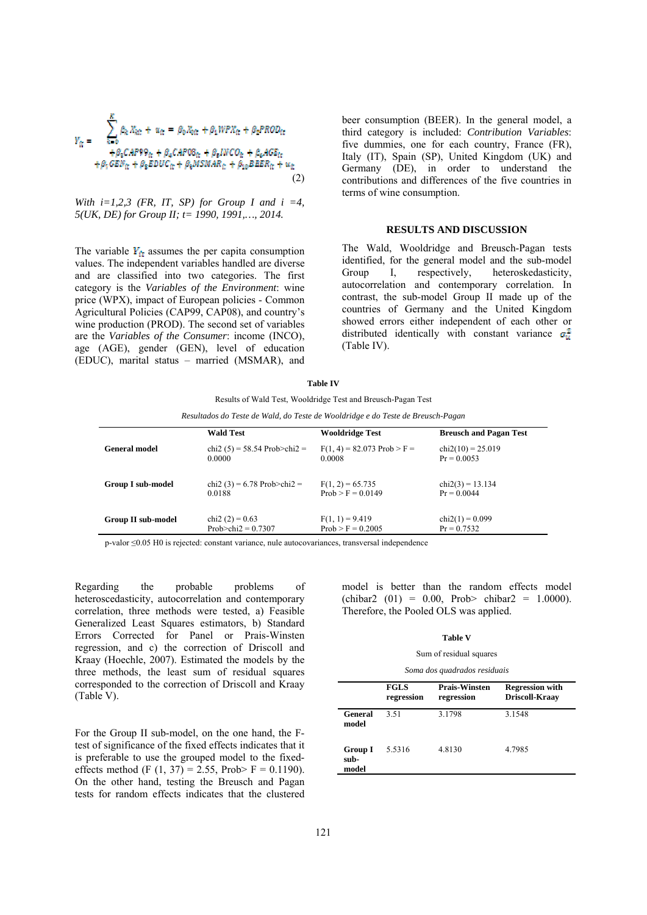$$
Y_{tt} = \sum_{k=0}^{K} \beta_k X_{kt} + u_{tt} = \beta_0 X_{0tt} + \beta_1 WPX_{tt} + \beta_2 PROD_{tt} + \beta_2 CAP99_{tt} + \beta_4 CAP08_{tt} + \beta_4 WPC0_{tt} + \beta_6 AGE_{tt} + \beta_7 GEN_{tt} + \beta_2 EDUC_{tt} + \beta_6 MSMAR_{tt} + \beta_{10} BBER_{tt} + u_{tt}
$$
\n(2)

With  $i=1,2,3$  (FR, IT, SP) for Group I and  $i=4$ , *5(UK, DE) for Group II; t= 1990, 1991,…, 2014.* 

The variable  $Y_{it}$  assumes the per capita consumption values. The independent variables handled are diverse and are classified into two categories. The first category is the *Variables of the Environment*: wine price (WPX), impact of European policies - Common Agricultural Policies (CAP99, CAP08), and country's wine production (PROD). The second set of variables are the *Variables of the Consumer*: income (INCO), age (AGE), gender (GEN), level of education (EDUC), marital status – married (MSMAR), and

beer consumption (BEER). In the general model, a third category is included: *Contribution Variables*: five dummies, one for each country, France (FR), Italy (IT), Spain (SP), United Kingdom (UK) and Germany (DE), in order to understand the contributions and differences of the five countries in terms of wine consumption.

### **RESULTS AND DISCUSSION**

The Wald, Wooldridge and Breusch-Pagan tests identified, for the general model and the sub-model Group I, respectively, heteroskedasticity, autocorrelation and contemporary correlation. In contrast, the sub-model Group II made up of the countries of Germany and the United Kingdom showed errors either independent of each other or distributed identically with constant variance  $\sigma_{\mu}^2$ (Table IV).

#### **Table IV**

Results of Wald Test, Wooldridge Test and Breusch-Pagan Test

*Resultados do Teste de Wald, do Teste de Wooldridge e do Teste de Breusch-Pagan* 

|                           | <b>Wald Test</b>               | <b>Wooldridge Test</b>        | <b>Breusch and Pagan Test</b> |
|---------------------------|--------------------------------|-------------------------------|-------------------------------|
| <b>General model</b>      | chi2 $(5) = 58.54$ Prob>chi2 = | $F(1, 4) = 82.073$ Prob > F = | $chi2(10) = 25.019$           |
|                           | 0.0000                         | 0.0008                        | $Pr = 0.0053$                 |
| <b>Group I sub-model</b>  | chi2 (3) = 6.78 Prob>chi2 =    | $F(1, 2) = 65.735$            | $chi2(3) = 13.134$            |
|                           | 0.0188                         | $Prob > F = 0.0149$           | $Pr = 0.0044$                 |
| <b>Group II sub-model</b> | chi2 $(2) = 0.63$              | $F(1, 1) = 9.419$             | $chi2(1) = 0.099$             |
|                           | Prob>chi2 = $0.7307$           | $Prob > F = 0.2005$           | $Pr = 0.7532$                 |

p-valor ≤0.05 H0 is rejected: constant variance, nule autocovariances, transversal independence

Regarding the probable problems of heteroscedasticity, autocorrelation and contemporary correlation, three methods were tested, a) Feasible Generalized Least Squares estimators, b) Standard Errors Corrected for Panel or Prais-Winsten regression, and c) the correction of Driscoll and Kraay (Hoechle, 2007). Estimated the models by the three methods, the least sum of residual squares corresponded to the correction of Driscoll and Kraay (Table V).

For the Group II sub-model, on the one hand, the Ftest of significance of the fixed effects indicates that it is preferable to use the grouped model to the fixedeffects method (F  $(1, 37) = 2.55$ , Prob> F = 0.1190). On the other hand, testing the Breusch and Pagan tests for random effects indicates that the clustered

model is better than the random effects model  $\text{(chibar2 (01)} = 0.00, \text{Prob} > \text{chibar2} = 1.0000.$ Therefore, the Pooled OLS was applied.

### **Table V**

#### Sum of residual squares

| Soma dos quadrados residuais |  |  |  |  |  |
|------------------------------|--|--|--|--|--|
|------------------------------|--|--|--|--|--|

|                                 | <b>FGLS</b><br>regression | <b>Prais-Winsten</b><br>regression | <b>Regression with</b><br>Driscoll-Kraay |
|---------------------------------|---------------------------|------------------------------------|------------------------------------------|
| General<br>model                | 3.51                      | 3.1798                             | 3.1548                                   |
| <b>Group I</b><br>sub-<br>model | 5.5316                    | 4.8130                             | 4.7985                                   |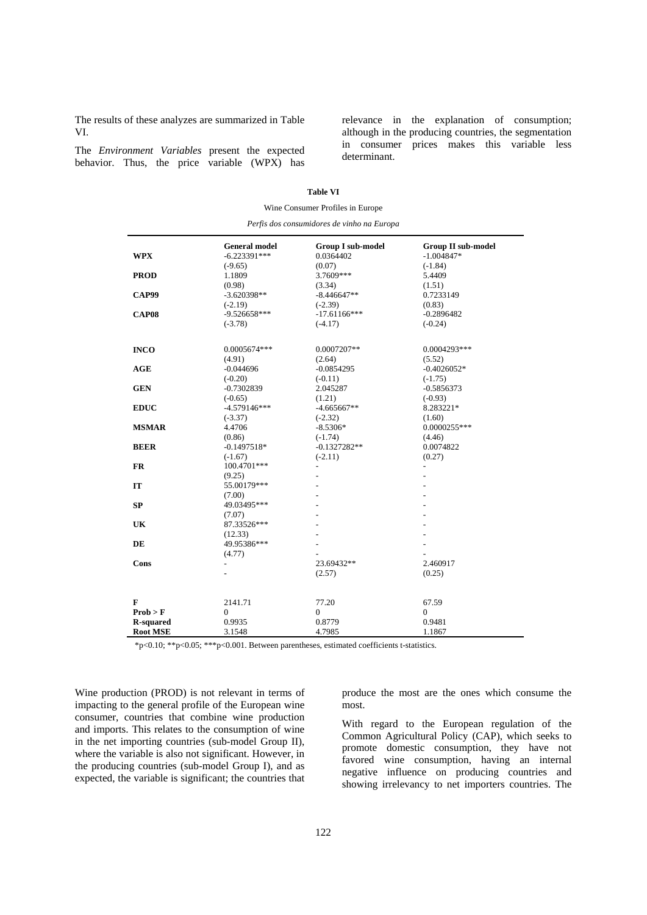The results of these analyzes are summarized in Table VI.

The *Environment Variables* present the expected behavior. Thus, the price variable (WPX) has relevance in the explanation of consumption; although in the producing countries, the segmentation in consumer prices makes this variable less determinant.

| Wine Consumer Profiles in Europe           |                                        |                                       |                                           |  |  |  |  |  |
|--------------------------------------------|----------------------------------------|---------------------------------------|-------------------------------------------|--|--|--|--|--|
| Perfis dos consumidores de vinho na Europa |                                        |                                       |                                           |  |  |  |  |  |
|                                            |                                        |                                       |                                           |  |  |  |  |  |
| <b>WPX</b>                                 | <b>General model</b><br>$-6.223391***$ | <b>Group I sub-model</b><br>0.0364402 | <b>Group II sub-model</b><br>$-1.004847*$ |  |  |  |  |  |
|                                            | $(-9.65)$                              | (0.07)                                | $(-1.84)$                                 |  |  |  |  |  |
| <b>PROD</b>                                | 1.1809                                 | 3.7609***                             | 5.4409                                    |  |  |  |  |  |
|                                            | (0.98)                                 | (3.34)                                | (1.51)                                    |  |  |  |  |  |
| CAP99                                      | $-3.620398**$                          | $-8.446647**$                         | 0.7233149                                 |  |  |  |  |  |
|                                            | $(-2.19)$                              | $(-2.39)$                             | (0.83)                                    |  |  |  |  |  |
| <b>CAP08</b>                               | -9.526658***                           | $-17.61166***$                        | $-0.2896482$                              |  |  |  |  |  |
|                                            | $(-3.78)$                              | $(-4.17)$                             | $(-0.24)$                                 |  |  |  |  |  |
| <b>INCO</b>                                | $0.0005674***$                         | 0.0007207**                           | 0.0004293***                              |  |  |  |  |  |
|                                            | (4.91)                                 | (2.64)                                | (5.52)                                    |  |  |  |  |  |
| AGE                                        | $-0.044696$                            | $-0.0854295$                          | $-0.4026052*$                             |  |  |  |  |  |
|                                            | $(-0.20)$                              | $(-0.11)$                             | $(-1.75)$                                 |  |  |  |  |  |
| <b>GEN</b>                                 | $-0.7302839$                           | 2.045287                              | $-0.5856373$                              |  |  |  |  |  |
|                                            | $(-0.65)$                              | (1.21)                                | $(-0.93)$                                 |  |  |  |  |  |
| <b>EDUC</b>                                | $-4.579146***$                         | $-4.665667**$                         | 8.283221*                                 |  |  |  |  |  |
|                                            | $(-3.37)$                              | $(-2.32)$                             | (1.60)                                    |  |  |  |  |  |
| <b>MSMAR</b>                               | 4.4706                                 | $-8.5306*$                            | 0.0000255***                              |  |  |  |  |  |
|                                            | (0.86)                                 | $(-1.74)$                             | (4.46)                                    |  |  |  |  |  |
| <b>BEER</b>                                | $-0.1497518*$                          | $-0.1327282**$                        | 0.0074822                                 |  |  |  |  |  |
|                                            | $(-1.67)$                              | $(-2.11)$                             | (0.27)                                    |  |  |  |  |  |
| FR                                         | 100.4701***                            |                                       | $\overline{a}$                            |  |  |  |  |  |
|                                            | (9.25)                                 |                                       |                                           |  |  |  |  |  |
| IT                                         | 55.00179***                            |                                       |                                           |  |  |  |  |  |
|                                            | (7.00)                                 |                                       |                                           |  |  |  |  |  |
| SP                                         | 49.03495***                            |                                       |                                           |  |  |  |  |  |
|                                            | (7.07)                                 |                                       |                                           |  |  |  |  |  |
| UK                                         | 87.33526***                            |                                       |                                           |  |  |  |  |  |
|                                            | (12.33)                                |                                       |                                           |  |  |  |  |  |
| DE                                         | 49.95386***                            |                                       |                                           |  |  |  |  |  |
|                                            | (4.77)                                 |                                       |                                           |  |  |  |  |  |
| Cons                                       |                                        | 23.69432**                            | 2.460917                                  |  |  |  |  |  |
|                                            |                                        | (2.57)                                | (0.25)                                    |  |  |  |  |  |
|                                            |                                        |                                       |                                           |  |  |  |  |  |
| F                                          | 2141.71                                | 77.20                                 | 67.59                                     |  |  |  |  |  |
| Prob > F                                   | 0                                      | $\mathbf{0}$                          | 0                                         |  |  |  |  |  |
| <b>R-squared</b>                           | 0.9935                                 | 0.8779                                | 0.9481                                    |  |  |  |  |  |
| <b>Root MSE</b>                            | 3.1548                                 | 4.7985                                | 1.1867                                    |  |  |  |  |  |

**Table VI** 

\*p<0.10; \*\*p<0.05; \*\*\*p<0.001. Between parentheses, estimated coefficients t-statistics.

Wine production (PROD) is not relevant in terms of impacting to the general profile of the European wine consumer, countries that combine wine production and imports. This relates to the consumption of wine in the net importing countries (sub-model Group II), where the variable is also not significant. However, in the producing countries (sub-model Group I), and as expected, the variable is significant; the countries that produce the most are the ones which consume the most.

With regard to the European regulation of the Common Agricultural Policy (CAP), which seeks to promote domestic consumption, they have not favored wine consumption, having an internal negative influence on producing countries and showing irrelevancy to net importers countries. The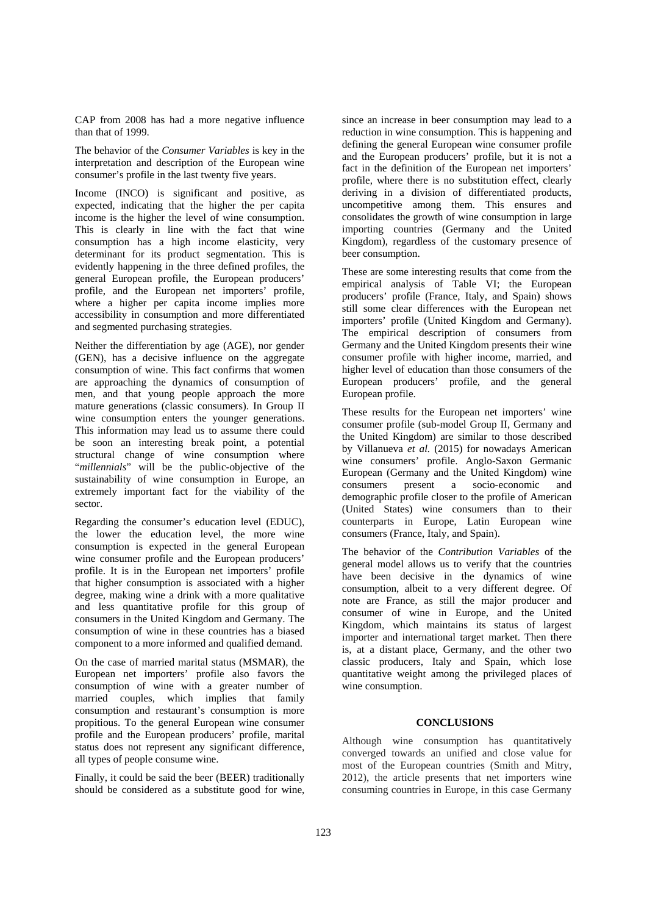CAP from 2008 has had a more negative influence than that of 1999.

The behavior of the *Consumer Variables* is key in the interpretation and description of the European wine consumer's profile in the last twenty five years.

Income (INCO) is significant and positive, as expected, indicating that the higher the per capita income is the higher the level of wine consumption. This is clearly in line with the fact that wine consumption has a high income elasticity, very determinant for its product segmentation. This is evidently happening in the three defined profiles, the general European profile, the European producers' profile, and the European net importers' profile, where a higher per capita income implies more accessibility in consumption and more differentiated and segmented purchasing strategies.

Neither the differentiation by age (AGE), nor gender (GEN), has a decisive influence on the aggregate consumption of wine. This fact confirms that women are approaching the dynamics of consumption of men, and that young people approach the more mature generations (classic consumers). In Group II wine consumption enters the younger generations. This information may lead us to assume there could be soon an interesting break point, a potential structural change of wine consumption where "*millennials*" will be the public-objective of the sustainability of wine consumption in Europe, an extremely important fact for the viability of the sector.

Regarding the consumer's education level (EDUC), the lower the education level, the more wine consumption is expected in the general European wine consumer profile and the European producers' profile. It is in the European net importers' profile that higher consumption is associated with a higher degree, making wine a drink with a more qualitative and less quantitative profile for this group of consumers in the United Kingdom and Germany. The consumption of wine in these countries has a biased component to a more informed and qualified demand.

On the case of married marital status (MSMAR), the European net importers' profile also favors the consumption of wine with a greater number of married couples, which implies that family consumption and restaurant's consumption is more propitious. To the general European wine consumer profile and the European producers' profile, marital status does not represent any significant difference, all types of people consume wine.

Finally, it could be said the beer (BEER) traditionally should be considered as a substitute good for wine, since an increase in beer consumption may lead to a reduction in wine consumption. This is happening and defining the general European wine consumer profile and the European producers' profile, but it is not a fact in the definition of the European net importers' profile, where there is no substitution effect, clearly deriving in a division of differentiated products, uncompetitive among them. This ensures and consolidates the growth of wine consumption in large importing countries (Germany and the United Kingdom), regardless of the customary presence of beer consumption.

These are some interesting results that come from the empirical analysis of Table VI; the European producers' profile (France, Italy, and Spain) shows still some clear differences with the European net importers' profile (United Kingdom and Germany). The empirical description of consumers from Germany and the United Kingdom presents their wine consumer profile with higher income, married, and higher level of education than those consumers of the European producers' profile, and the general European profile.

These results for the European net importers' wine consumer profile (sub-model Group II, Germany and the United Kingdom) are similar to those described by Villanueva *et al.* (2015) for nowadays American wine consumers' profile. Anglo-Saxon Germanic European (Germany and the United Kingdom) wine consumers present a socio-economic and demographic profile closer to the profile of American (United States) wine consumers than to their counterparts in Europe, Latin European wine consumers (France, Italy, and Spain).

The behavior of the *Contribution Variables* of the general model allows us to verify that the countries have been decisive in the dynamics of wine consumption, albeit to a very different degree. Of note are France, as still the major producer and consumer of wine in Europe, and the United Kingdom, which maintains its status of largest importer and international target market. Then there is, at a distant place, Germany, and the other two classic producers, Italy and Spain, which lose quantitative weight among the privileged places of wine consumption.

### **CONCLUSIONS**

Although wine consumption has quantitatively converged towards an unified and close value for most of the European countries (Smith and Mitry, 2012), the article presents that net importers wine consuming countries in Europe, in this case Germany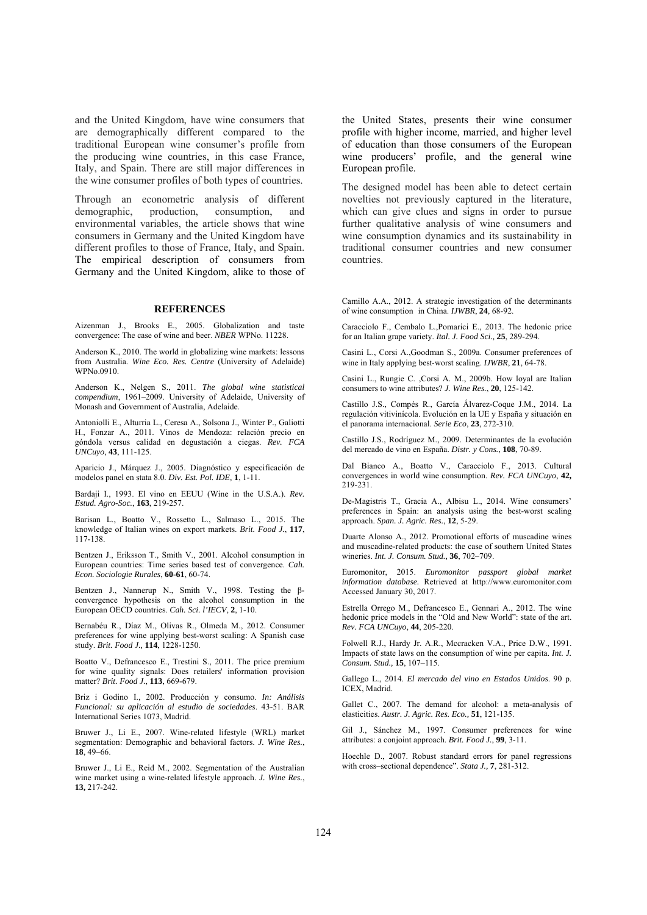and the United Kingdom, have wine consumers that are demographically different compared to the traditional European wine consumer's profile from the producing wine countries, in this case France, Italy, and Spain. There are still major differences in the wine consumer profiles of both types of countries.

Through an econometric analysis of different demographic, production, consumption, and environmental variables, the article shows that wine consumers in Germany and the United Kingdom have different profiles to those of France, Italy, and Spain. The empirical description of consumers from Germany and the United Kingdom, alike to those of

### **REFERENCES**

Aizenman J., Brooks E., 2005. Globalization and taste convergence: The case of wine and beer. *NBER* WPNo. 11228.

Anderson K., 2010. The world in globalizing wine markets: lessons from Australia. *Wine Eco. Res. Centre* (University of Adelaide) WPNo.0910.

Anderson K., Nelgen S., 2011. *The global wine statistical compendium*, 1961–2009. University of Adelaide, University of Monash and Government of Australia, Adelaide.

Antoniolli E., Alturria L., Ceresa A., Solsona J., Winter P., Galiotti H., Fonzar A., 2011. Vinos de Mendoza: relación precio en góndola versus calidad en degustación a ciegas. *Rev. FCA UNCuyo*, **43**, 111-125.

Aparicio J., Márquez J., 2005. Diagnóstico y especificación de modelos panel en stata 8.0. *Div. Est. Pol. IDE,* **1**, 1-11.

Bardaji I., 1993. El vino en EEUU (Wine in the U.S.A.). *Rev. Estud. Agro-Soc.*, **163**, 219-257.

Barisan L., Boatto V., Rossetto L., Salmaso L., 2015. The knowledge of Italian wines on export markets. *Brit. Food J.*, **117**, 117-138.

Bentzen J., Eriksson T., Smith V., 2001. Alcohol consumption in European countries: Time series based test of convergence. *Cah. Econ. Sociologie Rurales*, **60-61**, 60-74.

Bentzen J., Nannerup N., Smith V., 1998. Testing the βconvergence hypothesis on the alcohol consumption in the European OECD countries. *Cah. Sci. l'IECV*, **2**, 1-10.

Bernabéu R., Díaz M., Olivas R., Olmeda M., 2012. Consumer preferences for wine applying best-worst scaling: A Spanish case study. *Brit. Food J.,* **114**, 1228-1250.

Boatto V., Defrancesco E., Trestini S., 2011. The price premium for wine quality signals: Does retailers' information provision matter? *Brit. Food J.*, **113**, 669-679.

Briz i Godino I., 2002. Producción y consumo. *In: Análisis Funcional: su aplicación al estudio de sociedades*. 43-51. BAR International Series 1073, Madrid.

Bruwer J., Li E., 2007. Wine-related lifestyle (WRL) market segmentation: Demographic and behavioral factors. *J. Wine Res.*, **18**, 49–66.

Bruwer J., Li E., Reid M., 2002. Segmentation of the Australian wine market using a wine-related lifestyle approach. *J. Wine Res.*, **13,** 217-242.

the United States, presents their wine consumer profile with higher income, married, and higher level of education than those consumers of the European wine producers' profile, and the general wine European profile.

The designed model has been able to detect certain novelties not previously captured in the literature, which can give clues and signs in order to pursue further qualitative analysis of wine consumers and wine consumption dynamics and its sustainability in traditional consumer countries and new consumer countries.

Camillo A.A., 2012. A strategic investigation of the determinants of wine consumption in China. *IJWBR*, **24**, 68-92.

Caracciolo F., Cembalo L.,Pomarici E., 2013. The hedonic price for an Italian grape variety. *Ital. J. Food Sci.,* **25**, 289-294.

Casini L., Corsi A.,Goodman S., 2009a. Consumer preferences of wine in Italy applying best‐worst scaling. *IJWBR*, **21**, 64-78.

Casini L., Rungie C. ,Corsi A. M., 2009b. How loyal are Italian consumers to wine attributes? *J. Wine Res.*, **20**, 125-142.

Castillo J.S., Compés R., García Álvarez-Coque J.M., 2014. La regulación vitivinícola. Evolución en la UE y España y situación en el panorama internacional. *Serie Eco*, **23**, 272-310.

Castillo J.S., Rodríguez M., 2009. Determinantes de la evolución del mercado de vino en España. *Distr. y Cons.*, **108**, 70-89.

Dal Bianco A., Boatto V., Caracciolo F., 2013. Cultural convergences in world wine consumption. *Rev. FCA UNCuyo*, **42,**  219-231.

De-Magistris T., Gracia A., Albisu L., 2014. Wine consumers' preferences in Spain: an analysis using the best-worst scaling approach. *Span. J. Agric. Res.*, **12**, 5-29.

Duarte Alonso A., 2012. Promotional efforts of muscadine wines and muscadine-related products: the case of southern United States wineries. *Int. J. Consum. Stud.,* **36**, 702–709.

Euromonitor, 2015. *Euromonitor passport global market information database.* Retrieved at http://www.euromonitor.com Accessed January 30, 2017.

Estrella Orrego M., Defrancesco E., Gennari A., 2012. The wine hedonic price models in the "Old and New World": state of the art. *Rev. FCA UNCuyo*, **44**, 205-220.

Folwell R.J., Hardy Jr. A.R., Mccracken V.A., Price D.W., 1991. Impacts of state laws on the consumption of wine per capita. *Int. J. Consum. Stud.,* **15**, 107–115.

Gallego L., 2014. *El mercado del vino en Estados Unidos*. 90 p. ICEX, Madrid.

Gallet C., 2007. The demand for alcohol: a meta-analysis of elasticities. *Austr. J. Agric. Res. Eco.,* **51**, 121-135.

Gil J., Sánchez M., 1997. Consumer preferences for wine attributes: a conjoint approach. *Brit. Food J.*, **99**, 3-11.

Hoechle D., 2007. Robust standard errors for panel regressions with cross–sectional dependence". *Stata J.,* **7**, 281-312.